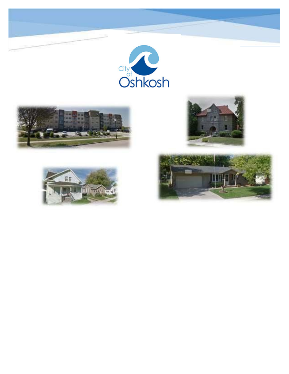









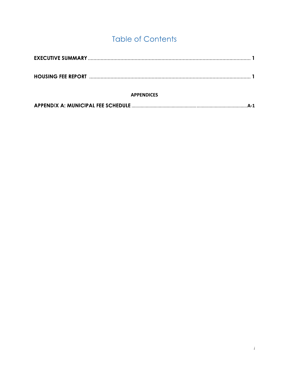# **Table of Contents**

| <b>APPENDICES</b> |  |
|-------------------|--|
|                   |  |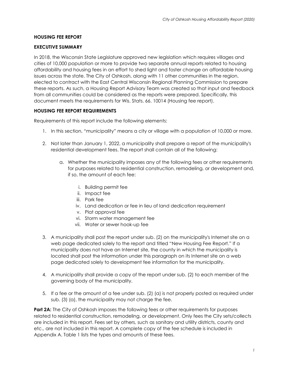#### **HOUSING FEE REPORT**

#### **EXECUTIVE SUMMARY**

In 2018, the Wisconsin State Legislature approved new legislation which requires villages and cities of 10,000 population or more to provide two separate annual reports related to housing affordability and housing fees in an effort to shed light and foster change on affordable housing issues across the state. The City of Oshkosh, along with 11 other communities in the region, elected to contract with the East Central Wisconsin Regional Planning Commission to prepare these reports. As such, a Housing Report Advisory Team was created so that input and feedback from all communities could be considered as the reports were prepared. Specifically, this document meets the requirements for Wis. Stats. 66. 10014 (Housing fee report).

#### **HOUSING FEE REPORT REQUIREMENTS**

Requirements of this report include the following elements:

- 1. In this section, "municipality" means a city or village with a population of 10,000 or more.
- 2. Not later than January 1, 2022, a municipality shall prepare a report of the municipality's residential development fees. The report shall contain all of the following:
	- a. Whether the municipality imposes any of the following fees or other requirements for purposes related to residential construction, remodeling, or development and, if so, the amount of each fee:
		- i. Building permit fee
		- ii. Impact fee
		- iii. Park fee
		- iv. Land dedication or fee in lieu of land dedication requirement
		- v. Plat approval fee
		- vi. Storm water management fee
		- vii. Water or sewer hook-up fee
- 3. A municipality shall post the report under sub. (2) on the municipality's Internet site on a web page dedicated solely to the report and titled "New Housing Fee Report." If a municipality does not have an Internet site, the county in which the municipality is located shall post the information under this paragraph on its Internet site on a web page dedicated solely to development fee information for the municipality.
- 4. A municipality shall provide a copy of the report under sub. (2) to each member of the governing body of the municipality.
- 5. If a fee or the amount of a fee under sub. (2) (a) is not properly posted as required under sub. (3) (a), the municipality may not charge the fee.

**Part 2A:** The City of Oshkosh imposes the following fees or other requirements for purposes related to residential construction, remodeling, or development. Only fees the City sets/collects are included in this report. Fees set by others, such as sanitary and utility districts, county and etc., are not included in this report. A complete copy of the fee schedule is included in Appendix A. Table 1 lists the types and amounts of these fees.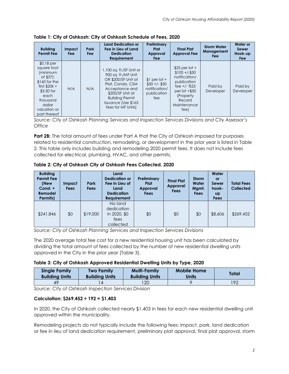| <b>Building</b><br><b>Permit Fee</b>                                                                                                                                | Impact<br>Fee | <b>Park</b><br>Fee | <b>Land Dedication or</b><br>Fee in Lieu of Land<br><b>Dedication</b><br>Requirement                                                                                                                    | Preliminary<br>Plat<br>Approval<br>Fee                                 | <b>Final Plat</b><br><b>Approval Fee</b>                                                                                                                 | <b>Storm Water</b><br>Management<br>Fee | Water or<br>Sewer<br>Hook-up<br><b>Fee</b> |
|---------------------------------------------------------------------------------------------------------------------------------------------------------------------|---------------|--------------------|---------------------------------------------------------------------------------------------------------------------------------------------------------------------------------------------------------|------------------------------------------------------------------------|----------------------------------------------------------------------------------------------------------------------------------------------------------|-----------------------------------------|--------------------------------------------|
| $$0.18$ per<br>square foot<br>(minimum<br>of \$37);<br>$$160$ for the<br>first $$20k +$<br>\$3.50 for<br>each<br>thousand<br>dollar<br>valuation or<br>part thereof | N/A           | N/A                | 1,100 sq. ft./SF Unit or<br>900 sq. ft./MF Unit<br>OR \$200/SF Unit at<br>Plat, Condo, CSM<br>Acceptance and<br>\$200/SF Unit at<br><b>Building Permit</b><br>Issuance (Use \$165<br>fees for MF Units) | $$1$ per lot +<br>$$50 +/- $50$<br>notification/<br>publication<br>fee | $$25$ per lot +<br>$$100 + (-150)$<br>notification/<br>publication<br>fee $+/-$ %25<br>$per$ lot $+$ \$50<br>(Property)<br>Record<br>Maintenance<br>fee) | Paid by<br>Developer                    | Paid by<br>Developer                       |

**Table 1: City of Oshkosh: City of Oshkosh Schedule of Fees, 2020** 

*Source: City of Oshkosh Planning Services and Inspection Services Divisions and City Assessor's Office* 

**Part 2B:** The total amount of fees under Part A that the City of Oshkosh imposed for purposes related to residential construction, remodeling, or development in the prior year is listed in Table 2. This table only includes building and remodeling 2020 permit fees. It does not include fees collected for electrical, plumbing, HVAC, and other permits.

| <b>Building</b><br><b>Permit Fee</b><br>(New<br>Const. +<br>Remodel<br>Permits) | Impact<br><b>Fees</b> | <b>Park</b><br><b>Fees</b> | Land<br><b>Dedication or</b><br>Fee in Lieu of<br>Land<br><b>Dedication</b><br><b>Requirement</b> | Preliminary<br>Plat<br>Approval<br><b>Fees</b> | <b>Final Plat</b><br>Approval<br><b>Fees</b> | <b>Storm</b><br>Water<br>Mgmt.<br>Fees | Water<br><b>or</b><br>Sewer<br>hook-<br><b>up</b><br>Fees | <b>Total Fees</b><br><b>Collected</b> |
|---------------------------------------------------------------------------------|-----------------------|----------------------------|---------------------------------------------------------------------------------------------------|------------------------------------------------|----------------------------------------------|----------------------------------------|-----------------------------------------------------------|---------------------------------------|
| \$241,846                                                                       | \$0                   | \$19,000                   | No land<br>dedication<br>in 2020, \$0<br>fees<br>collected                                        | \$0                                            | \$0                                          | \$0                                    | \$8,606                                                   | \$269,452                             |

**Table 2: City of Oshkosh City of Oshkosh Fees Collected, 2020** 

*Source: City of Oshkosh Planning Services and Inspection Services Divisions*

The 2020 average total fee cost for a new residential housing unit has been calculated by dividing the total amount of fees collected by the number of new residential dwelling units approved in the City in the prior year (Table 3).

#### **Table 3: City of Oshkosh Approved Residential Dwelling Units by Type, 2020**

| <b>Single Family</b>  | <b>Two Family</b>     | <b>Multi-Family</b>   | <b>Mobile Home</b> | Total |
|-----------------------|-----------------------|-----------------------|--------------------|-------|
| <b>Building Units</b> | <b>Building Units</b> | <b>Building Units</b> | Units              |       |
|                       |                       | 20                    |                    | 192   |

*Source: City of Oshkosh Inspection Services Division*

#### **Calculation: \$269,452 ÷ 192 = \$1,403**

In 2020, the City of Oshkosh collected nearly \$1,403 in fees for each new residential dwelling unit approved within the municipality.

Remodeling projects do not typically include the following fees: impact, park, land dedication or fee in lieu of land dedication requirement, preliminary plat approval, final plat approval, storm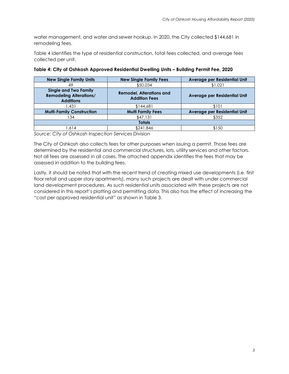water management, and water and sewer hookup. In 2020, the City collected \$144,681 in remodeling fees.

Table 4 identifies the type of residential construction, total fees collected, and average fees collected per unit.

| <b>New Single Family Units</b><br><b>New Single Family Fees</b>                    |                                                         | Average per Residential Unit |  |  |  |
|------------------------------------------------------------------------------------|---------------------------------------------------------|------------------------------|--|--|--|
| 49                                                                                 | \$50,034                                                | \$1,021                      |  |  |  |
| <b>Single and Two Family</b><br><b>Remodeling Alterations/</b><br><b>Additions</b> | <b>Remodel, Alterations and</b><br><b>Addition Fees</b> | Average per Residential Unit |  |  |  |
| 431. ا                                                                             | \$144,681                                               | \$101                        |  |  |  |
| <b>Multi-Family Construction</b>                                                   | <b>Multi Family Fees</b>                                | Average per Residential Unit |  |  |  |
| 134                                                                                | \$47,131                                                | \$352                        |  |  |  |
| <b>Totals</b>                                                                      |                                                         |                              |  |  |  |
| 1.614                                                                              | \$241,846                                               | \$150                        |  |  |  |

|  | Table 4: City of Oshkosh Approved Residential Dwelling Units - Building Permit Fee, 2020 |  |  |
|--|------------------------------------------------------------------------------------------|--|--|
|  |                                                                                          |  |  |

*Source: City of Oshkosh Inspection Services Division*

The City of Oshkosh also collects fees for other purposes when issuing a permit. Those fees are determined by the residential and commercial structures, lots, utility services and other factors. Not all fees are assessed in all cases. The attached appendix identifies the fees that may be assessed in addition to the building fees.

Lastly, it should be noted that with the recent trend of creating mixed use developments (i.e. first floor retail and upper story apartments), many such projects are dealt with under commercial land development procedures. As such residential units associated with these projects are not considered in this report's platting and permitting data. This also has the effect of increasing the "cost per approved residential unit" as shown in Table 3.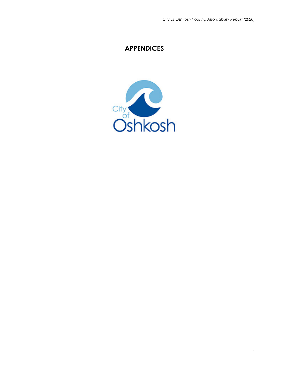# **APPENDICES**

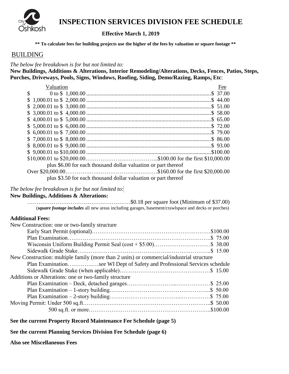

# **INSPECTION SERVICES DIVISION FEE SCHEDULE**

### **Effective March 1, 2019**

 **\*\* To calculate fees for building projects use the higher of the fees by valuation or square footage \*\***

#### BUILDING

*The below fee breakdown is for but not limited to:*

**New Buildings, Additions & Alterations, Interior Remodeling/Alterations, Decks, Fences, Patios, Steps, Porches, Driveways, Pools, Signs, Windows, Roofing, Siding, Demo/Razing, Ramps, Etc**:

| Valuation |                                                                                                                            | Fee |
|-----------|----------------------------------------------------------------------------------------------------------------------------|-----|
|           | $\$\ 0\ \text{to}\ \$\ 1,000.00\ \dots\ \dots\ \dots\ \dots\ \dots\ \dots\ \dots\ \dots\ \dots\ \dots\ \dots\ \ \$\ 37.00$ |     |
|           |                                                                                                                            |     |
|           |                                                                                                                            |     |
|           |                                                                                                                            |     |
|           |                                                                                                                            |     |
|           |                                                                                                                            |     |
|           |                                                                                                                            |     |
|           |                                                                                                                            |     |
|           |                                                                                                                            |     |
|           |                                                                                                                            |     |
|           |                                                                                                                            |     |
|           | plus \$6.00 for each thousand dollar valuation or part thereof                                                             |     |
|           |                                                                                                                            |     |
|           | plus \$3.50 for each thousand dollar valuation or part thereof                                                             |     |

### *The below fee breakdown is for but not limited to:*

#### **New Buildings, Additions & Alterations:**

 ………………………………….……………\$0.18 per square foot (Minimum of \$37.00) (*square footage includes* all new areas including garages, basement/crawlspace and decks or porches)

### **Additional Fees:**

| New Construction: one or two-family structure                                            |  |
|------------------------------------------------------------------------------------------|--|
|                                                                                          |  |
|                                                                                          |  |
|                                                                                          |  |
|                                                                                          |  |
| New Construction: multiple family (more than 2 units) or commercial/industrial structure |  |
| Plan Examinationsee WI Dept of Safety and Professional Services schedule                 |  |
|                                                                                          |  |
| Additions or Alterations: one or two-family structure                                    |  |
|                                                                                          |  |
|                                                                                          |  |
|                                                                                          |  |
|                                                                                          |  |
|                                                                                          |  |

#### **See the current Property Record Maintenance Fee Schedule (page 5)**

**See the current Planning Services Division Fee Schedule (page 6)**

**Also see Miscellaneous Fees**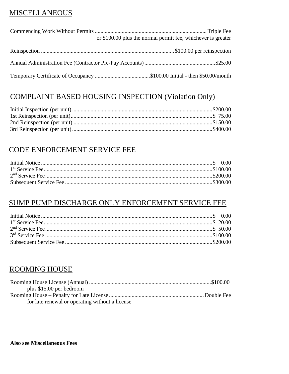# **MISCELLANEOUS**

| or \$100.00 plus the normal permit fee, whichever is greater |
|--------------------------------------------------------------|
|                                                              |
|                                                              |
|                                                              |
|                                                              |

# **COMPLAINT BASED HOUSING INSPECTION (Violation Only)**

# CODE ENFORCEMENT SERVICE FEE

# SUMP PUMP DISCHARGE ONLY ENFORCEMENT SERVICE FEE

# **ROOMING HOUSE**

| plus $$15.00$ per bedroom                       |  |
|-------------------------------------------------|--|
|                                                 |  |
| for late renewal or operating without a license |  |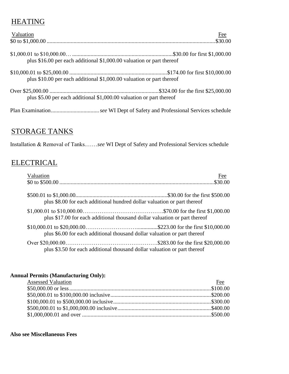# **HEATING**

| Valuation                                                             | $\underline{\text{Fee}}$ |
|-----------------------------------------------------------------------|--------------------------|
|                                                                       |                          |
| plus \$16.00 per each additional \$1,000.00 valuation or part thereof |                          |
| plus \$10.00 per each additional \$1,000.00 valuation or part thereof |                          |
| plus \$5.00 per each additional \$1,000.00 valuation or part thereof  |                          |
|                                                                       |                          |

# STORAGE TANKS

Installation & Removal of Tanks.……*see* WI Dept of Safety and Professional Services schedule

# **ELECTRICAL**

| Valuation<br>Fee                                                           |
|----------------------------------------------------------------------------|
|                                                                            |
| plus \$8.00 for each additional hundred dollar valuation or part thereof   |
| plus \$17.00 for each additional thousand dollar valuation or part thereof |
| plus \$6.00 for each additional thousand dollar valuation or part thereof  |
| plus \$3.50 for each additional thousand dollar valuation or part thereof  |

### **Annual Permits (Manufacturing Only):**

| <b>Assessed Valuation</b> | Fee |
|---------------------------|-----|
|                           |     |
|                           |     |
|                           |     |
|                           |     |
|                           |     |

#### **Also see Miscellaneous Fees**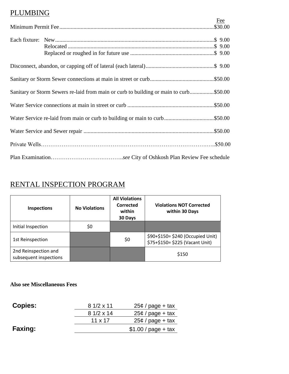# PLUMBING

|                                                                                       | Fee |
|---------------------------------------------------------------------------------------|-----|
|                                                                                       |     |
|                                                                                       |     |
|                                                                                       |     |
|                                                                                       |     |
|                                                                                       |     |
|                                                                                       |     |
| Sanitary or Storm Sewers re-laid from main or curb to building or main to curb\$50.00 |     |
|                                                                                       |     |
|                                                                                       |     |
|                                                                                       |     |
|                                                                                       |     |
|                                                                                       |     |

# RENTAL INSPECTION PROGRAM

| <b>Inspections</b>                             | <b>No Violations</b> | <b>All Violations</b><br>Corrected<br>within<br>30 Days | <b>Violations NOT Corrected</b><br>within 30 Days                    |
|------------------------------------------------|----------------------|---------------------------------------------------------|----------------------------------------------------------------------|
| Initial Inspection                             | \$0                  |                                                         |                                                                      |
| 1st Reinspection                               |                      | \$0                                                     | \$90+\$150= \$240 (Occupied Unit)<br>\$75+\$150= \$225 (Vacant Unit) |
| 2nd Reinspection and<br>subsequent inspections |                      |                                                         | \$150                                                                |

## **Also see Miscellaneous Fees**

| <b>Copies:</b> | $81/2 \times 11$ | $25¢$ / page + tax   |
|----------------|------------------|----------------------|
|                | $81/2 \times 14$ | $25¢$ / page + tax   |
|                | $11 \times 17$   | $25¢$ / page + tax   |
| <b>Faxing:</b> |                  | $$1.00 / page + tax$ |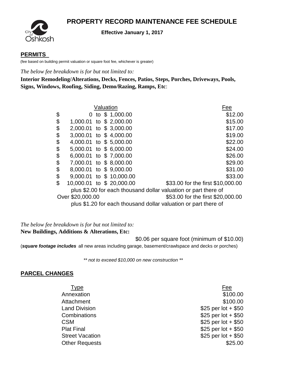# **PROPERTY RECORD MAINTENANCE FEE SCHEDULE**



#### **Effective January 1, 2017**

#### **PERMITS**

(fee based on building permit valuation or square foot fee, whichever is greater)

*The below fee breakdown is for but not limited to:*

**Interior Remodeling/Alterations, Decks, Fences, Patios, Steps, Porches, Driveways, Pools, Signs, Windows, Roofing, Siding, Demo/Razing, Ramps, Etc**:

|                                 | Valuation        | Fee                                                             |
|---------------------------------|------------------|-----------------------------------------------------------------|
| \$                              | 0 to \$ 1,000.00 | \$12.00                                                         |
| \$<br>1,000.01 to \$ 2,000.00   |                  | \$15.00                                                         |
| \$<br>2,000.01 to \$3,000.00    |                  | \$17.00                                                         |
| \$<br>3,000.01 to \$4,000.00    |                  | \$19.00                                                         |
| \$<br>4,000.01 to \$5,000.00    |                  | \$22.00                                                         |
| \$<br>5,000.01 to \$6,000.00    |                  | \$24.00                                                         |
| \$<br>6,000.01 to \$7,000.00    |                  | \$26.00                                                         |
| \$<br>7,000.01 to \$8,000.00    |                  | \$29.00                                                         |
| \$<br>8,000.01 to \$9,000.00    |                  | \$31.00                                                         |
| \$<br>9,000.01 to \$10,000.00   |                  | \$33.00                                                         |
| \$<br>10,000.01 to \$ 20,000.00 |                  | \$33.00 for the first \$10,000.00                               |
|                                 |                  | plus \$2.00 for each thousand dollar valuation or part there of |
| Over \$20,000.00                |                  | \$53.00 for the first \$20,000.00                               |
|                                 |                  | plus \$1.20 for each thousand dollar valuation or part there of |

*The below fee breakdown is for but not limited to:* **New Buildings, Additions & Alterations, Etc:**

\$0.06 per square foot (minimum of \$10.00)

(*square footage includes* all new areas including garage, basement/crawlspace and decks or porches)

 *\*\* not to exceed \$10,000 on new construction \*\**

#### **PARCEL CHANGES**

- 
- Type **Fee** Annexation \$100.00 Attachment \$100.00 Land Division  $$25$  per lot +  $$50$ Combinations  $$25$  per lot + \$50  $CSM$  \$25 per lot + \$50 Plat Final \$25 per lot + \$50 Street Vacation  $$25$  per lot + \$50 Other Requests  $$25.00$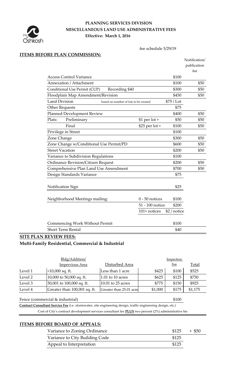

# **PLANNING SERVICES DIVISION MISCELLANEOUS LAND USE ADMINISTRATIVE FEES Effective: March 1, 2016**

:fee schedule 5/29/19

### **ITEMS BEFORE PLAN COMMISSION:**

|                                                               |                  |              | Notification/ |
|---------------------------------------------------------------|------------------|--------------|---------------|
|                                                               |                  |              | publication   |
|                                                               |                  |              | fee           |
| <b>Access Control Variance</b>                                |                  | \$100        |               |
| Annexation / Attachment                                       |                  | \$100        | \$50          |
| Recording \$40<br>Conditional Use Permit (CUP)                |                  | \$300        | \$50          |
| Floodplain Map Amendment/Revision                             |                  | \$450        | \$50          |
| <b>Land Division</b><br>based on number of lots to be created |                  | \$75 / Lot   |               |
| <b>Other Requests</b>                                         |                  | \$75         |               |
| <b>Planned Development Review</b>                             |                  | \$400        | \$50          |
| Plats:<br>Preliminary                                         | $$1$ per lot +   | \$50         | \$50          |
| Final                                                         | \$25 per lot +   | \$100        | \$50          |
| Privilege in Street                                           |                  | \$100        |               |
| Zone Change                                                   |                  | \$300        | \$50          |
| Zone Change w/Conditional Use Permit/PD                       |                  | \$600        | \$50          |
| <b>Street Vacation</b>                                        |                  | \$200        | \$50          |
| Variance to Subdivision Regulations                           |                  | \$100        |               |
| Ordinance Revision/Citizen Request                            |                  | \$200        | \$50          |
| Comprehensive Plan Land Use Amendment                         |                  | \$700        | \$50          |
| Design Standards Variance                                     |                  | \$75         |               |
|                                                               |                  |              |               |
| Notification Sign                                             |                  | \$25         |               |
|                                                               |                  |              |               |
| Neighborhood Meetings mailing:                                | $0 - 50$ notices | \$100        |               |
|                                                               | 51 - 100 notice: | \$200        |               |
|                                                               | 101+ notices     | \$2 / notice |               |
|                                                               |                  |              |               |
| <b>Commencing Work Without Permit</b>                         |                  | \$100        |               |
| <b>Short Term Rental</b>                                      |                  | \$40         |               |

# **SITE PLAN REVIEW FEES:**

**Multi-Family Residential, Commercial & Industrial**

|         | Bldg/Addition/                                                                                               |                         |         | <b>Inspection</b> |              |
|---------|--------------------------------------------------------------------------------------------------------------|-------------------------|---------|-------------------|--------------|
|         | <b>Impervious Area</b>                                                                                       | Disturbed Area          |         | <u>Fee</u>        | <b>Total</b> |
| Level 1 | $<$ 10,000 sq. ft.                                                                                           | Less than 1 acre        | \$425   | \$100             | \$525        |
| Level 2 | 10,000 to 50,000 sq. ft.                                                                                     | $1.01$ to $10$ acres    | \$625   | \$125             | \$750        |
| Level 3 | 50,001 to 100,000 sq. ft.                                                                                    | 10.01 to 25 acres       | \$775   | \$150             | \$925        |
| Level 4 | Greater than 100,001 sq. ft.                                                                                 | Greater than 25.01 acre | \$1,000 | \$175             | \$1,175      |
|         | Fence (commercial & industrial)                                                                              |                         |         | \$100             |              |
|         | Contract Consultant Service Fee (i.e. stormwater, site engineering design, traffic engineering design, etc.) |                         |         |                   |              |

Cost of City's contract development services consultant fee **PLUS** two percent (2%) administrative fee

### **ITEMS BEFORE BOARD OF APPEALS:**

| Variance to Zoning Ordinance   |       | $$125 + $50$ |
|--------------------------------|-------|--------------|
| Variance to City Building Code | \$125 |              |
| Appeal to Interpretation       | \$125 |              |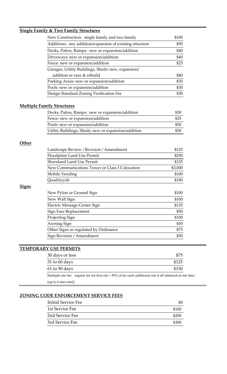|              | New Construction: single family and two family                                          | \$100                                  |
|--------------|-----------------------------------------------------------------------------------------|----------------------------------------|
|              | Additions: any addition/expansion of existing structure                                 | \$50                                   |
|              | Decks, Patios, Ramps: new or expansion/addition                                         | \$40                                   |
|              | Driveways: new or expansion/addition                                                    | \$40                                   |
|              | Fence: new or expansion/addition                                                        | \$25                                   |
|              | Garages, Utility Buildings, Sheds: new, expansion/                                      |                                        |
|              | addition or raze & rebuild                                                              | \$40                                   |
|              | Parking Areas: new or expansion/addition                                                | \$35                                   |
|              | Pools: new or expansion/addition                                                        | \$30                                   |
|              | Design Standard Zoning Verification Fee                                                 | \$30                                   |
|              | <b>Multiple Family Structures</b>                                                       |                                        |
|              | Decks, Patios, Ramps: new or expansion/addition                                         | \$30                                   |
|              | Fence: new or expansion/addition                                                        | \$25                                   |
|              |                                                                                         |                                        |
|              | Pools: new or expansion/addition<br>Utility Buildings, Sheds: new or expansion/addition | \$50<br>\$50                           |
| Other        |                                                                                         |                                        |
|              | Landscape Review / Revision / Amendment                                                 | \$125                                  |
|              | Floodplain Land Use Permit                                                              |                                        |
|              | <b>Shoreland Land Use Permit</b>                                                        | \$250<br>\$125                         |
|              | New Communications Tower or Class I Colocation                                          | \$3,000                                |
|              | Mobile Vending                                                                          |                                        |
|              | Quadricycle                                                                             | \$100<br>\$100                         |
| <u>Signs</u> |                                                                                         | \$100                                  |
|              | New Pylon or Ground Sign<br>New Wall Sign                                               | \$100                                  |
|              | Electric Message Center Sign                                                            |                                        |
|              | Sign Face Replacement                                                                   |                                        |
|              | Projecting Sign                                                                         |                                        |
|              | Awning Sign                                                                             |                                        |
|              | Other Signs as regulated by Ordinance                                                   | \$125<br>\$50<br>\$100<br>\$50<br>\$75 |

# **TEMPORARY USE PERMITS**

| 30 days or less                                                                                          | \$75  |
|----------------------------------------------------------------------------------------------------------|-------|
| 31 to 60 days                                                                                            | \$125 |
| 61 to 90 days                                                                                            | \$150 |
| Multiple site fee: requier fee for first site $+50\%$ of fee each additional site if all obtained at one |       |

Multiple site fee: regular fee for first site  $+$  50% of fee each additional site if all obtained at one time. (up to 4 sites total)

# **ZONING CODE ENFORCEMENT SERVICE FEES**

| <b>Initial Service Fee</b> |       |
|----------------------------|-------|
| 1st Service Fee            | \$100 |
| 2nd Service Fee            | \$200 |
| 3rd Service Fee            | \$300 |
|                            |       |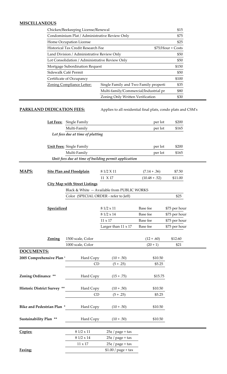## **MISCELLANEOUS**

| Chicken/Beekeeping License/Renewal             |                                       | \$15               |
|------------------------------------------------|---------------------------------------|--------------------|
| Condominium Plat / Administrative Review Only  |                                       | \$75               |
| Home Occupation License                        |                                       | \$25               |
| Historical Tax Credit Research Fee             |                                       | $$75/Hour + Costs$ |
| Land Division / Administrative Review Only     |                                       | \$50               |
| Lot Consolidation / Administrative Review Only |                                       | \$50               |
| Mortgage Subordination Request                 |                                       | \$150              |
| Sidewalk Café Permit                           |                                       | \$50               |
| Certificate of Occupancy                       |                                       | \$100              |
| Zoning Compliance Letter:                      | Single Family and Two Family properti | \$35               |
|                                                | Multi-family/Commercial/Industrial pr | \$80               |
|                                                | Zoning Only Written Verification      | \$30               |

**PARKLAND DEDICATION FEES:** Applies to all residential final plats, condo plats and CSM's

|                                      | Lot Fees: Single Family                              |                                              | per lot         | \$200         |
|--------------------------------------|------------------------------------------------------|----------------------------------------------|-----------------|---------------|
|                                      | Multi-Family                                         |                                              | per lot         | \$165         |
|                                      | Lot fees due at time of platting                     |                                              |                 |               |
|                                      | <b>Unit Fees: Single Family</b>                      |                                              | per lot         | \$200         |
|                                      | Multi-Family                                         |                                              | per lot         | \$165         |
|                                      | Unit fees due at time of building permit application |                                              |                 |               |
|                                      |                                                      |                                              |                 |               |
| MAPS:                                | <b>Site Plan and Floodplain</b>                      | 8 1/2 X 11                                   | $(7.14 + .36)$  | \$7.50        |
|                                      |                                                      | 11 X 17                                      | $(10.48 + .52)$ | \$11.00       |
|                                      | <b>City Map with Street Listings</b>                 |                                              |                 |               |
|                                      |                                                      | Black & White -- Available from PUBLIC WORKS |                 |               |
|                                      | Color (SPECIAL ORDER - refer to Jeff)                |                                              |                 | \$25          |
|                                      |                                                      |                                              |                 |               |
| Specialized                          |                                                      | $81/2 \times 11$                             | Base fee        | \$75 per hour |
|                                      |                                                      | 8 1/2 x 14                                   | Base fee        | \$75 per hour |
|                                      |                                                      | $11 \times 17$                               | Base fee        | \$75 per hour |
|                                      |                                                      | Larger than 11 x 17                          | Base fee        | \$75 per hour |
|                                      |                                                      |                                              |                 |               |
| Zoning                               | 1500 scale, Color                                    |                                              | $(12+.60)$      | \$12.60       |
|                                      | 1000 scale, Color                                    |                                              | $(20 + 1)$      | \$21          |
| <b>DOCUMENTS:</b>                    |                                                      |                                              |                 |               |
| 2005 Comprehensive Plan <sup>*</sup> | Hard Copy                                            | $(10+.50)$                                   | \$10.50         |               |
|                                      | CD                                                   | $(5+.25)$                                    | \$5.25          |               |
|                                      |                                                      |                                              |                 |               |
| Zoning Ordinance **                  | Hard Copy                                            | $(15+.75)$                                   | \$15.75         |               |
|                                      |                                                      |                                              |                 |               |
| <b>Historic District Survey **</b>   | Hard Copy                                            | $(10+.50)$                                   | \$10.50         |               |
|                                      | CD                                                   | $(5+.25)$                                    | \$5.25          |               |
|                                      |                                                      |                                              |                 |               |
| <b>Bike and Pedestrian Plan *</b>    | Hard Copy                                            | $(10+.50)$                                   | \$10.50         |               |
|                                      |                                                      |                                              |                 |               |
| Sustainability Plan **               | Hard Copy                                            | $(10+.50)$                                   | \$10.50         |               |
| Copies:                              | $81/2 \times 11$                                     | $25¢$ / page + tax                           |                 |               |
|                                      | $8\ 1/2 \times 14$                                   | $25¢$ / page + tax                           |                 |               |
|                                      | $11 \times 17$                                       | $25¢$ / page + tax                           |                 |               |
| Faxing:                              |                                                      | $$1.00 / page + tax$                         |                 |               |
|                                      |                                                      |                                              |                 |               |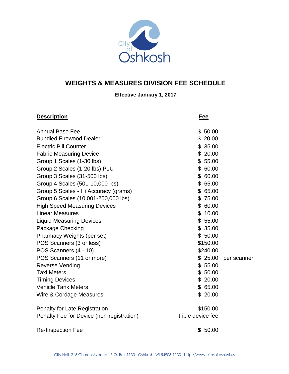

## **WEIGHTS & MEASURES DIVISION FEE SCHEDULE**

### **Effective January 1, 2017**

| <b>Description</b>                        | Fee               |             |
|-------------------------------------------|-------------------|-------------|
| <b>Annual Base Fee</b>                    | \$50.00           |             |
| <b>Bundled Firewood Dealer</b>            | \$20.00           |             |
| <b>Electric Pill Counter</b>              | \$35.00           |             |
| <b>Fabric Measuring Device</b>            | \$20.00           |             |
| Group 1 Scales (1-30 lbs)                 | \$55.00           |             |
| Group 2 Scales (1-20 lbs) PLU             | \$60.00           |             |
| Group 3 Scales (31-500 lbs)               | \$60.00           |             |
| Group 4 Scales (501-10,000 lbs)           | \$65.00           |             |
| Group 5 Scales - Hi Accuracy (grams)      | \$65.00           |             |
| Group 6 Scales (10,001-200,000 lbs)       | \$75.00           |             |
| <b>High Speed Measuring Devices</b>       | \$60.00           |             |
| <b>Linear Measures</b>                    | \$10.00           |             |
| <b>Liquid Measuring Devices</b>           | \$55.00           |             |
| Package Checking                          | \$35.00           |             |
| Pharmacy Weights (per set)                | \$50.00           |             |
| POS Scanners (3 or less)                  | \$150.00          |             |
| POS Scanners (4 - 10)                     | \$240.00          |             |
| POS Scanners (11 or more)                 | \$25.00           | per scanner |
| <b>Reverse Vending</b>                    | \$55.00           |             |
| <b>Taxi Meters</b>                        | \$50.00           |             |
| <b>Timing Devices</b>                     | \$20.00           |             |
| <b>Vehicle Tank Meters</b>                | \$65.00           |             |
| Wire & Cordage Measures                   | \$20.00           |             |
| <b>Penalty for Late Registration</b>      | \$150.00          |             |
| Penalty Fee for Device (non-registration) | triple device fee |             |
| <b>Re-Inspection Fee</b>                  | \$50.00           |             |